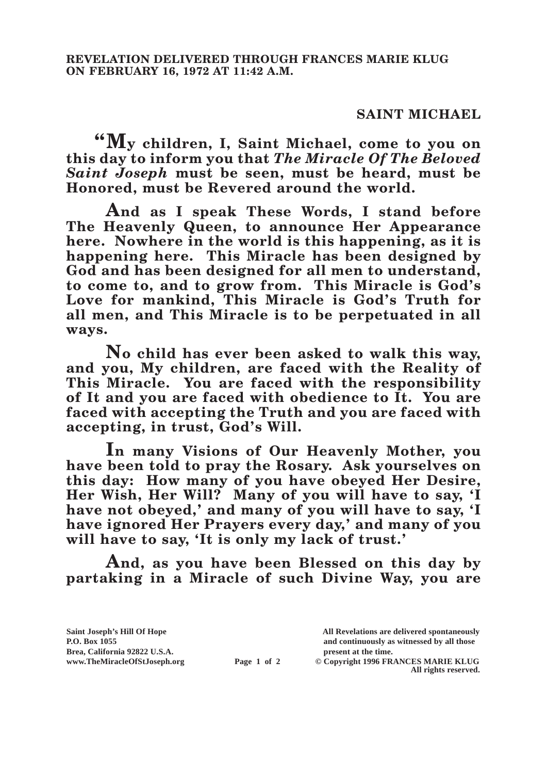## **SAINT MICHAEL**

**"My children, I, Saint Michael, come to you on this day to inform you that** *The Miracle Of The Beloved Saint Joseph* **must be seen, must be heard, must be Honored, must be Revered around the world.**

**And as I speak These Words, I stand before The Heavenly Queen, to announce Her Appearance here. Nowhere in the world is this happening, as it is happening here. This Miracle has been designed by God and has been designed for all men to understand, to come to, and to grow from. This Miracle is God's Love for mankind, This Miracle is God's Truth for all men, and This Miracle is to be perpetuated in all ways.**

**No child has ever been asked to walk this way, and you, My children, are faced with the Reality of This Miracle. You are faced with the responsibility of It and you are faced with obedience to It. You are faced with accepting the Truth and you are faced with accepting, in trust, God's Will.**

**In many Visions of Our Heavenly Mother, you have been told to pray the Rosary. Ask yourselves on this day: How many of you have obeyed Her Desire,**  Her Wish, Her Will? Many of you will have to say, 'I **have not obeyed,' and many of you will have to say, 'I have ignored Her Prayers every day,' and many of you will have to say, 'It is only my lack of trust.'**

**And, as you have been Blessed on this day by partaking in a Miracle of such Divine Way, you are** 

**Brea, California 92822 U.S.A. present at the time.**<br> **present at the time.**<br> **present at the time.**<br> **present at the time.**<br> **present at the time.**<br> **present at the time.** 

**Saint Joseph's Hill Of Hope All Revelations are delivered spontaneously P.O. Box 1055 and continuously as witnessed by all those** 

**Page 1 of 2** © Copyright 1996 FRANCES MARIE KLUG **All rights reserved.**